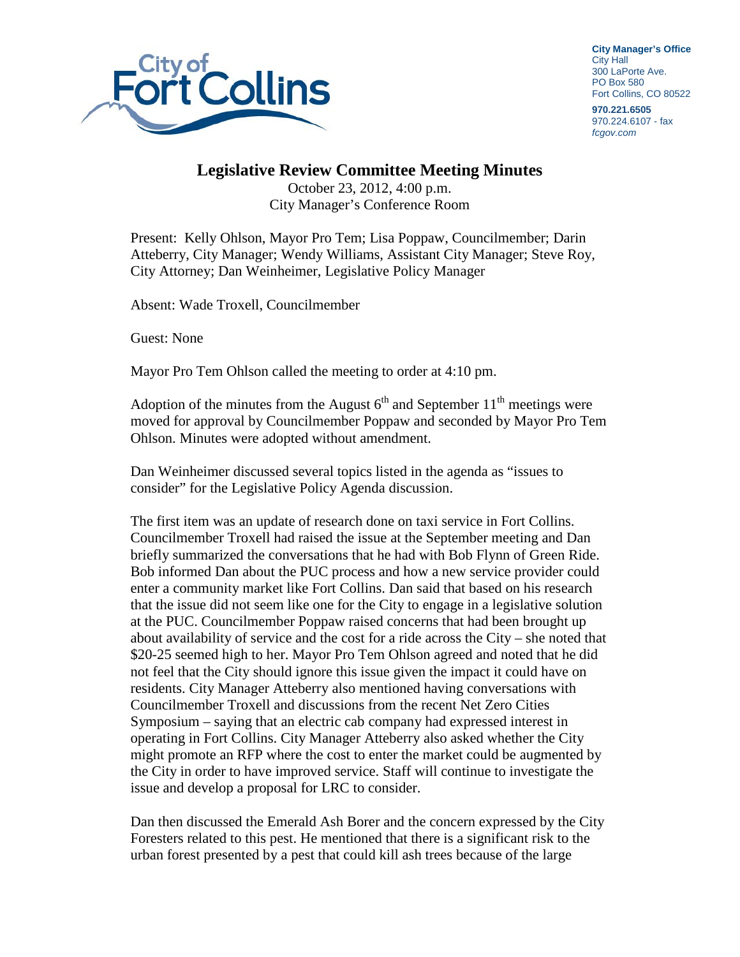

**City Manager's Office** City Hall 300 LaPorte Ave. PO Box 580 Fort Collins, CO 80522

**970.221.6505** 970.224.6107 - fax *fcgov.com*

## **Legislative Review Committee Meeting Minutes**

October 23, 2012, 4:00 p.m. City Manager's Conference Room

Present: Kelly Ohlson, Mayor Pro Tem; Lisa Poppaw, Councilmember; Darin Atteberry, City Manager; Wendy Williams, Assistant City Manager; Steve Roy, City Attorney; Dan Weinheimer, Legislative Policy Manager

Absent: Wade Troxell, Councilmember

Guest: None

Mayor Pro Tem Ohlson called the meeting to order at 4:10 pm.

Adoption of the minutes from the August  $6<sup>th</sup>$  and September  $11<sup>th</sup>$  meetings were moved for approval by Councilmember Poppaw and seconded by Mayor Pro Tem Ohlson. Minutes were adopted without amendment.

Dan Weinheimer discussed several topics listed in the agenda as "issues to consider" for the Legislative Policy Agenda discussion.

The first item was an update of research done on taxi service in Fort Collins. Councilmember Troxell had raised the issue at the September meeting and Dan briefly summarized the conversations that he had with Bob Flynn of Green Ride. Bob informed Dan about the PUC process and how a new service provider could enter a community market like Fort Collins. Dan said that based on his research that the issue did not seem like one for the City to engage in a legislative solution at the PUC. Councilmember Poppaw raised concerns that had been brought up about availability of service and the cost for a ride across the City – she noted that \$20-25 seemed high to her. Mayor Pro Tem Ohlson agreed and noted that he did not feel that the City should ignore this issue given the impact it could have on residents. City Manager Atteberry also mentioned having conversations with Councilmember Troxell and discussions from the recent Net Zero Cities Symposium – saying that an electric cab company had expressed interest in operating in Fort Collins. City Manager Atteberry also asked whether the City might promote an RFP where the cost to enter the market could be augmented by the City in order to have improved service. Staff will continue to investigate the issue and develop a proposal for LRC to consider.

Dan then discussed the Emerald Ash Borer and the concern expressed by the City Foresters related to this pest. He mentioned that there is a significant risk to the urban forest presented by a pest that could kill ash trees because of the large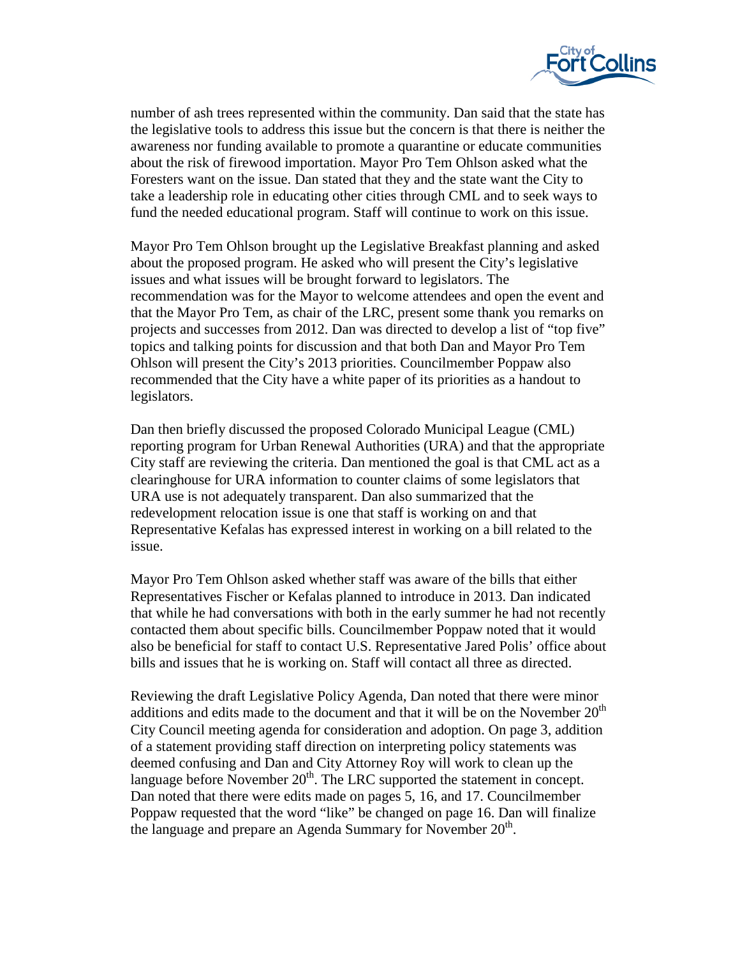

number of ash trees represented within the community. Dan said that the state has the legislative tools to address this issue but the concern is that there is neither the awareness nor funding available to promote a quarantine or educate communities about the risk of firewood importation. Mayor Pro Tem Ohlson asked what the Foresters want on the issue. Dan stated that they and the state want the City to take a leadership role in educating other cities through CML and to seek ways to fund the needed educational program. Staff will continue to work on this issue.

Mayor Pro Tem Ohlson brought up the Legislative Breakfast planning and asked about the proposed program. He asked who will present the City's legislative issues and what issues will be brought forward to legislators. The recommendation was for the Mayor to welcome attendees and open the event and that the Mayor Pro Tem, as chair of the LRC, present some thank you remarks on projects and successes from 2012. Dan was directed to develop a list of "top five" topics and talking points for discussion and that both Dan and Mayor Pro Tem Ohlson will present the City's 2013 priorities. Councilmember Poppaw also recommended that the City have a white paper of its priorities as a handout to legislators.

Dan then briefly discussed the proposed Colorado Municipal League (CML) reporting program for Urban Renewal Authorities (URA) and that the appropriate City staff are reviewing the criteria. Dan mentioned the goal is that CML act as a clearinghouse for URA information to counter claims of some legislators that URA use is not adequately transparent. Dan also summarized that the redevelopment relocation issue is one that staff is working on and that Representative Kefalas has expressed interest in working on a bill related to the issue.

Mayor Pro Tem Ohlson asked whether staff was aware of the bills that either Representatives Fischer or Kefalas planned to introduce in 2013. Dan indicated that while he had conversations with both in the early summer he had not recently contacted them about specific bills. Councilmember Poppaw noted that it would also be beneficial for staff to contact U.S. Representative Jared Polis' office about bills and issues that he is working on. Staff will contact all three as directed.

Reviewing the draft Legislative Policy Agenda, Dan noted that there were minor additions and edits made to the document and that it will be on the November  $20<sup>th</sup>$ City Council meeting agenda for consideration and adoption. On page 3, addition of a statement providing staff direction on interpreting policy statements was deemed confusing and Dan and City Attorney Roy will work to clean up the language before November  $20<sup>th</sup>$ . The LRC supported the statement in concept. Dan noted that there were edits made on pages 5, 16, and 17. Councilmember Poppaw requested that the word "like" be changed on page 16. Dan will finalize the language and prepare an Agenda Summary for November  $20<sup>th</sup>$ .